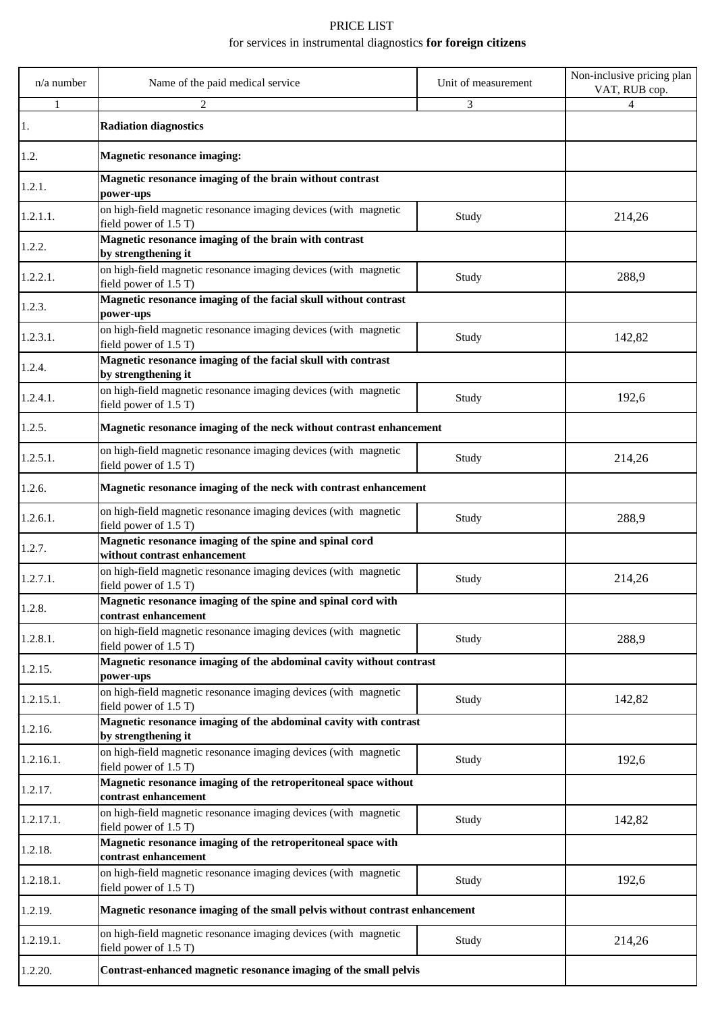## PRICE LIST for services in instrumental diagnostics **for foreign citizens**

| $n/a$ number | Name of the paid medical service                                                         | Unit of measurement | Non-inclusive pricing plan<br>VAT, RUB cop. |
|--------------|------------------------------------------------------------------------------------------|---------------------|---------------------------------------------|
|              | 2                                                                                        | 3                   | 4                                           |
| 1.           | <b>Radiation diagnostics</b>                                                             |                     |                                             |
| 1.2.         | <b>Magnetic resonance imaging:</b>                                                       |                     |                                             |
| 1.2.1.       | Magnetic resonance imaging of the brain without contrast<br>power-ups                    |                     |                                             |
| 1.2.1.1.     | on high-field magnetic resonance imaging devices (with magnetic<br>field power of 1.5 T) | Study               | 214,26                                      |
| 1.2.2.       | Magnetic resonance imaging of the brain with contrast<br>by strengthening it             |                     |                                             |
| 1.2.2.1.     | on high-field magnetic resonance imaging devices (with magnetic<br>field power of 1.5 T) | Study               | 288,9                                       |
| 1.2.3.       | Magnetic resonance imaging of the facial skull without contrast<br>power-ups             |                     |                                             |
| 1.2.3.1.     | on high-field magnetic resonance imaging devices (with magnetic<br>field power of 1.5 T) | Study               | 142,82                                      |
| 1.2.4.       | Magnetic resonance imaging of the facial skull with contrast<br>by strengthening it      |                     |                                             |
| 1.2.4.1.     | on high-field magnetic resonance imaging devices (with magnetic<br>field power of 1.5 T) | Study               | 192,6                                       |
| 1.2.5.       | Magnetic resonance imaging of the neck without contrast enhancement                      |                     |                                             |
| 1.2.5.1.     | on high-field magnetic resonance imaging devices (with magnetic<br>field power of 1.5 T) | Study               | 214,26                                      |
| 1.2.6.       | Magnetic resonance imaging of the neck with contrast enhancement                         |                     |                                             |
| 1.2.6.1.     | on high-field magnetic resonance imaging devices (with magnetic<br>field power of 1.5 T) | Study               | 288,9                                       |
| 1.2.7.       | Magnetic resonance imaging of the spine and spinal cord<br>without contrast enhancement  |                     |                                             |
| 1.2.7.1.     | on high-field magnetic resonance imaging devices (with magnetic<br>field power of 1.5 T) | Study               | 214,26                                      |
| 1.2.8.       | Magnetic resonance imaging of the spine and spinal cord with<br>contrast enhancement     |                     |                                             |
| 1.2.8.1.     | on high-field magnetic resonance imaging devices (with magnetic<br>field power of 1.5 T) | Study               | 288,9                                       |
| 1.2.15.      | Magnetic resonance imaging of the abdominal cavity without contrast<br>power-ups         |                     |                                             |
| 1.2.15.1.    | on high-field magnetic resonance imaging devices (with magnetic<br>field power of 1.5 T) | Study               | 142,82                                      |
| 1.2.16.      | Magnetic resonance imaging of the abdominal cavity with contrast<br>by strengthening it  |                     |                                             |
| 1.2.16.1.    | on high-field magnetic resonance imaging devices (with magnetic<br>field power of 1.5 T) | Study               | 192,6                                       |
| 1.2.17.      | Magnetic resonance imaging of the retroperitoneal space without<br>contrast enhancement  |                     |                                             |
| 1.2.17.1.    | on high-field magnetic resonance imaging devices (with magnetic<br>field power of 1.5 T) | Study               | 142,82                                      |
| 1.2.18.      | Magnetic resonance imaging of the retroperitoneal space with<br>contrast enhancement     |                     |                                             |
| 1.2.18.1.    | on high-field magnetic resonance imaging devices (with magnetic<br>field power of 1.5 T) | Study               | 192,6                                       |
| 1.2.19.      | Magnetic resonance imaging of the small pelvis without contrast enhancement              |                     |                                             |
| 1.2.19.1.    | on high-field magnetic resonance imaging devices (with magnetic<br>field power of 1.5 T) | Study               | 214,26                                      |
| 1.2.20.      | Contrast-enhanced magnetic resonance imaging of the small pelvis                         |                     |                                             |